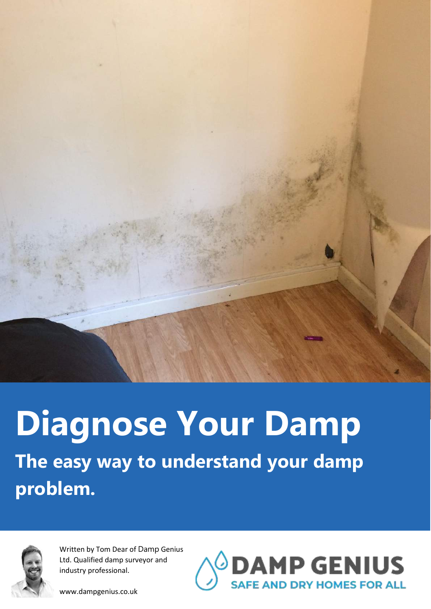

# **Diagnose Your Damp The easy way to understand your damp problem.**



Written by Tom Dear of Damp Genius Ltd. Qualified damp surveyor and industry professional.

www.dampgenius.co.uk

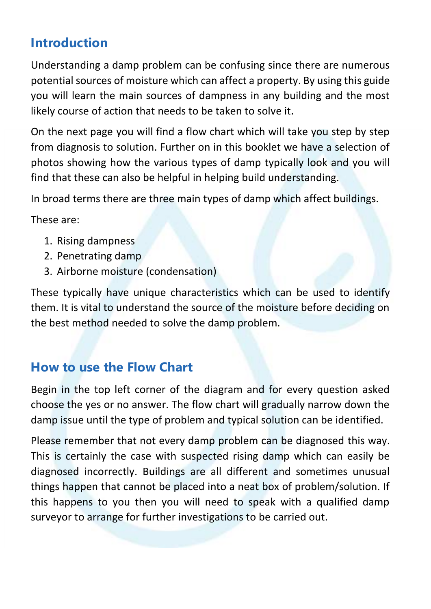# **Introduction**

Understanding a damp problem can be confusing since there are numerous potential sources of moisture which can affect a property. By using this guide you will learn the main sources of dampness in any building and the most likely course of action that needs to be taken to solve it.

On the next page you will find a flow chart which will take you step by step from diagnosis to solution. Further on in this booklet we have a selection of photos showing how the various types of damp typically look and you will find that these can also be helpful in helping build understanding.

In broad terms there are three main types of damp which affect buildings.

These are:

- 1. Rising dampness
- 2. Penetrating damp
- 3. Airborne moisture (condensation)

These typically have unique characteristics which can be used to identify them. It is vital to understand the source of the moisture before deciding on the best method needed to solve the damp problem.

#### **How to use the Flow Chart**

Begin in the top left corner of the diagram and for every question asked choose the yes or no answer. The flow chart will gradually narrow down the damp issue until the type of problem and typical solution can be identified.

Please remember that not every damp problem can be diagnosed this way. This is certainly the case with suspected rising damp which can easily be diagnosed incorrectly. Buildings are all different and sometimes unusual things happen that cannot be placed into a neat box of problem/solution. If this happens to you then you will need to speak with a qualified damp surveyor to arrange for further investigations to be carried out.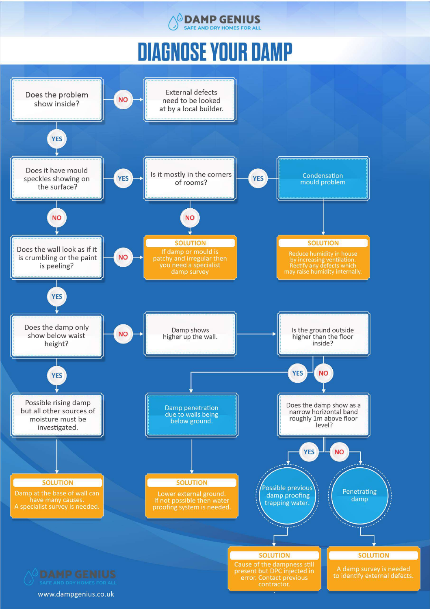

# **DIAGNOSE YOUR DAMP**

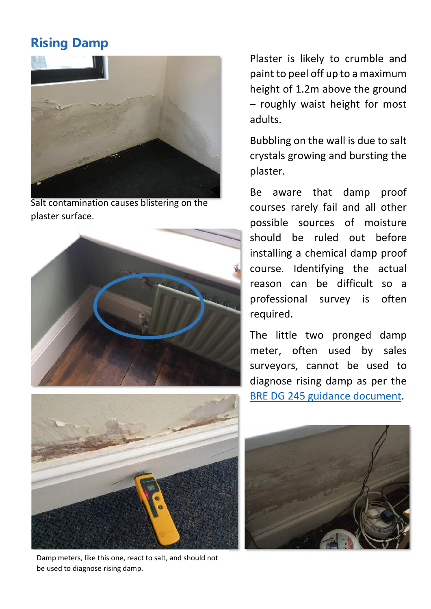# **Rising Damp**



Salt contamination causes blistering on the plaster surface.





Damp meters, like this one, react to salt, and should not be used to diagnose rising damp.

Plaster is likely to crumble and paint to peel off up to a maximum height of 1.2m above the ground – roughly waist height for most adults.

Bubbling on the wall is due to salt crystals growing and bursting the plaster.

Be aware that damp proof courses rarely fail and all other possible sources of moisture should be ruled out before installing a chemical damp proof course. Identifying the actual reason can be difficult so a professional survey is often required.

The little two pronged damp meter, often used by sales surveyors, cannot be used to diagnose rising damp as per the BRE DG 245 [guidance document.](https://dampgenius.co.uk/survey-methods/)

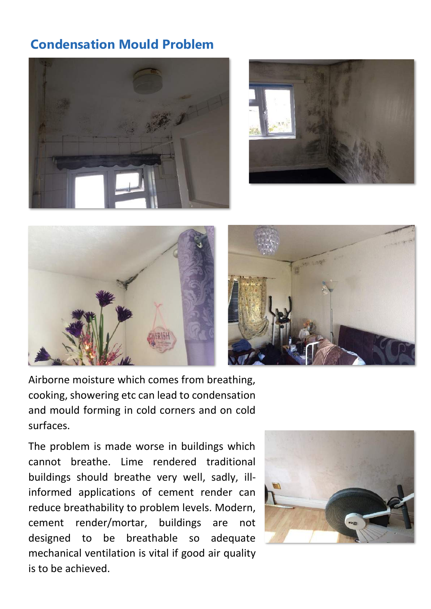# **Condensation Mould Problem**







Airborne moisture which comes from breathing, cooking, showering etc can lead to condensation and mould forming in cold corners and on cold surfaces.

The problem is made worse in buildings which cannot breathe. Lime rendered traditional buildings should breathe very well, sadly, illinformed applications of cement render can reduce breathability to problem levels. Modern, cement render/mortar, buildings are not designed to be breathable so adequate mechanical ventilation is vital if good air quality is to be achieved.

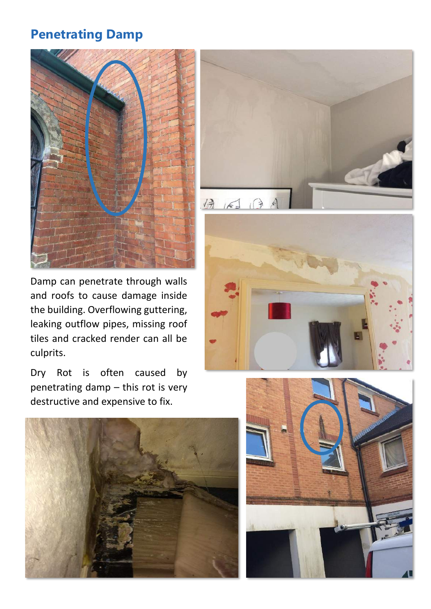#### **Penetrating Damp**



Damp can penetrate through walls and roofs to cause damage inside the building. Overflowing guttering, leaking outflow pipes, missing roof tiles and cracked render can all be culprits.

Dry Rot is often caused by penetrating damp – this rot is very destructive and expensive to fix.







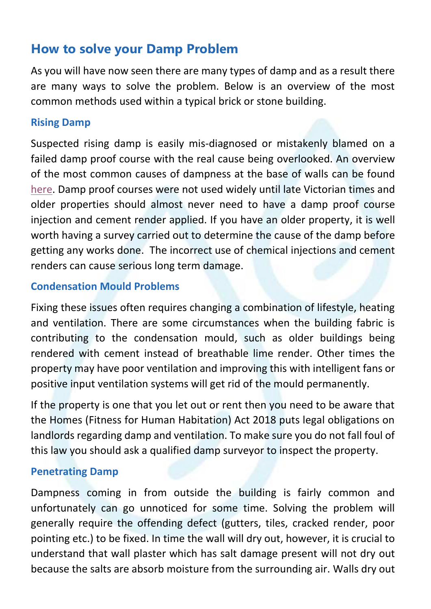#### **How to solve your Damp Problem**

As you will have now seen there are many types of damp and as a result there are many ways to solve the problem. Below is an overview of the most common methods used within a typical brick or stone building.

#### **Rising Damp**

Suspected rising damp is easily mis-diagnosed or mistakenly blamed on a failed damp proof course with the real cause being overlooked. An overview of the most common causes of dampness at the base of walls can be found [here.](https://dampgenius.co.uk/the-7-most-common-causes-of-rising-damp-in-houses/) Damp proof courses were not used widely until late Victorian times and older properties should almost never need to have a damp proof course injection and cement render applied. If you have an older property, it is well worth having a survey carried out to determine the cause of the damp before getting any works done. The incorrect use of chemical injections and cement renders can cause serious long term damage.

#### **Condensation Mould Problems**

Fixing these issues often requires changing a combination of lifestyle, heating and ventilation. There are some circumstances when the building fabric is contributing to the condensation mould, such as older buildings being rendered with cement instead of breathable lime render. Other times the property may have poor ventilation and improving this with intelligent fans or positive input ventilation systems will get rid of the mould permanently.

If the property is one that you let out or rent then you need to be aware that the Homes (Fitness for Human Habitation) Act 2018 puts legal obligations on landlords regarding damp and ventilation. To make sure you do not fall foul of this law you should ask a qualified damp surveyor to inspect the property.

#### **Penetrating Damp**

Dampness coming in from outside the building is fairly common and unfortunately can go unnoticed for some time. Solving the problem will generally require the offending defect (gutters, tiles, cracked render, poor pointing etc.) to be fixed. In time the wall will dry out, however, it is crucial to understand that wall plaster which has salt damage present will not dry out because the salts are absorb moisture from the surrounding air. Walls dry out